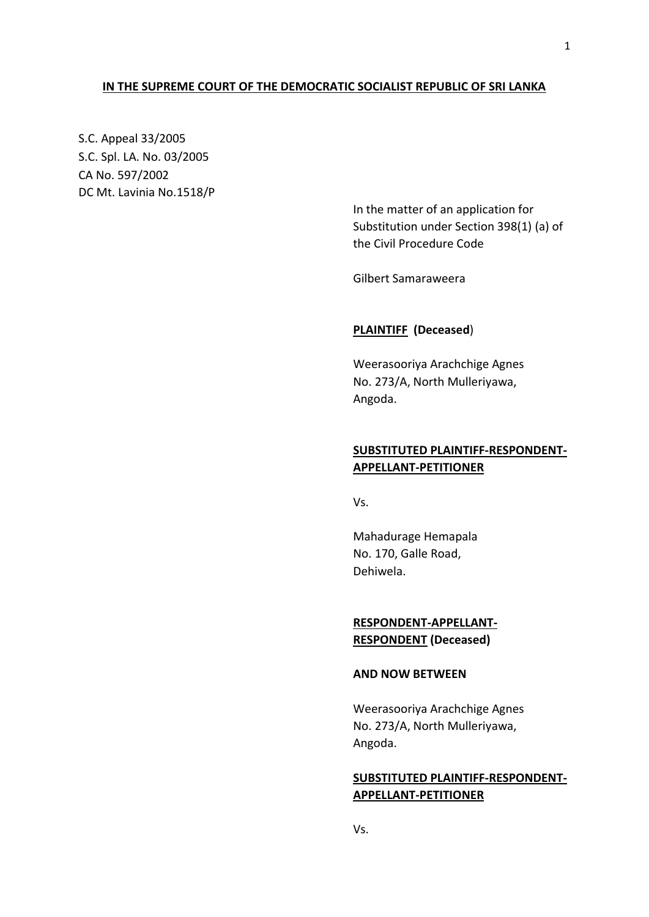#### **IN THE SUPREME COURT OF THE DEMOCRATIC SOCIALIST REPUBLIC OF SRI LANKA**

S.C. Appeal 33/2005 S.C. Spl. LA. No. 03/2005 CA No. 597/2002 DC Mt. Lavinia No.1518/P

> In the matter of an application for Substitution under Section 398(1) (a) of the Civil Procedure Code

Gilbert Samaraweera

#### **PLAINTIFF (Deceased**)

Weerasooriya Arachchige Agnes No. 273/A, North Mulleriyawa, Angoda.

# **SUBSTITUTED PLAINTIFF-RESPONDENT-APPELLANT-PETITIONER**

Vs.

Mahadurage Hemapala No. 170, Galle Road, Dehiwela.

**RESPONDENT-APPELLANT-RESPONDENT (Deceased)**

# **AND NOW BETWEEN**

Weerasooriya Arachchige Agnes No. 273/A, North Mulleriyawa, Angoda.

# **SUBSTITUTED PLAINTIFF-RESPONDENT-APPELLANT-PETITIONER**

Vs.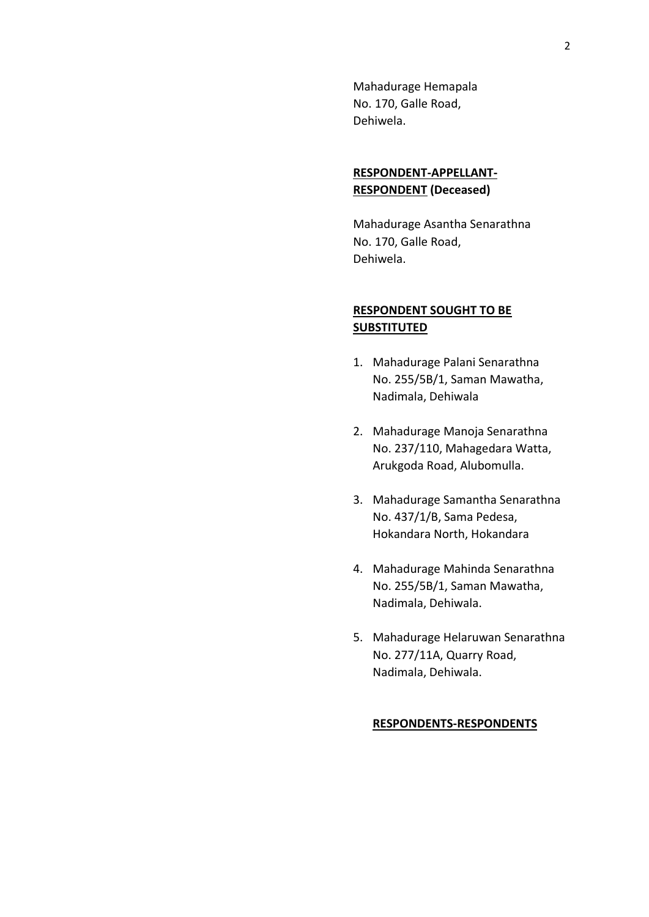Mahadurage Hemapala No. 170, Galle Road, Dehiwela.

# **RESPONDENT-APPELLANT-RESPONDENT (Deceased)**

Mahadurage Asantha Senarathna No. 170, Galle Road, Dehiwela.

# **RESPONDENT SOUGHT TO BE SUBSTITUTED**

- 1. Mahadurage Palani Senarathna No. 255/5B/1, Saman Mawatha, Nadimala, Dehiwala
- 2. Mahadurage Manoja Senarathna No. 237/110, Mahagedara Watta, Arukgoda Road, Alubomulla.
- 3. Mahadurage Samantha Senarathna No. 437/1/B, Sama Pedesa, Hokandara North, Hokandara
- 4. Mahadurage Mahinda Senarathna No. 255/5B/1, Saman Mawatha, Nadimala, Dehiwala.
- 5. Mahadurage Helaruwan Senarathna No. 277/11A, Quarry Road, Nadimala, Dehiwala.

#### **RESPONDENTS-RESPONDENTS**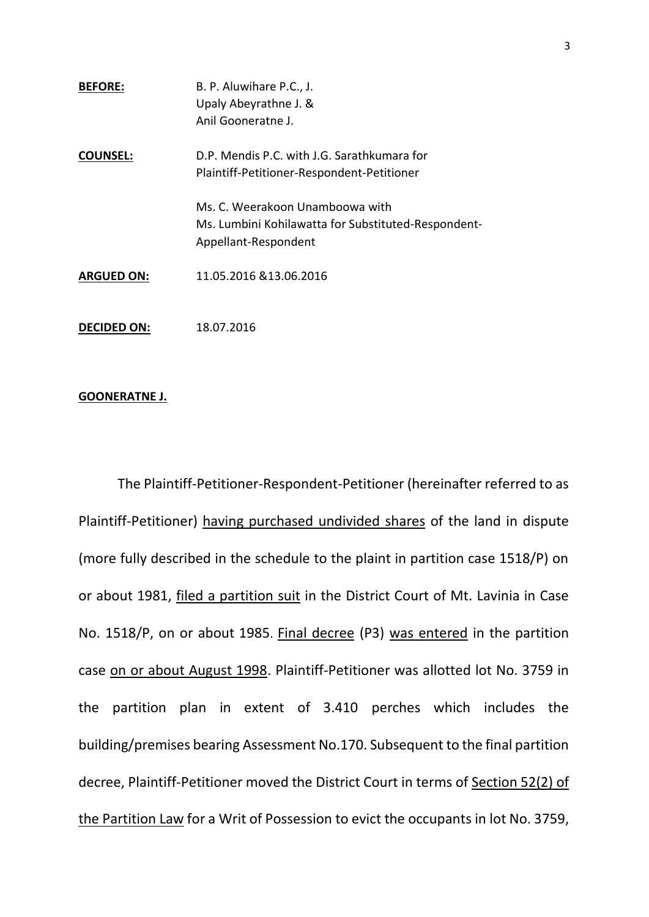| <b>BEFORE:</b>     | B. P. Aluwihare P.C., J.                            |
|--------------------|-----------------------------------------------------|
|                    | Upaly Abeyrathne J. &                               |
|                    | Anil Gooneratne J.                                  |
| <b>COUNSEL:</b>    | D.P. Mendis P.C. with J.G. Sarathkumara for         |
|                    | Plaintiff-Petitioner-Respondent-Petitioner          |
|                    | Ms. C. Weerakoon Unamboowa with                     |
|                    | Ms. Lumbini Kohilawatta for Substituted-Respondent- |
|                    | Appellant-Respondent                                |
| <b>ARGUED ON:</b>  | 11.05.2016 & 13.06.2016                             |
|                    |                                                     |
| <b>DECIDED ON:</b> | 18.07.2016                                          |

#### **GOONERATNE J.**

The Plaintiff-Petitioner-Respondent-Petitioner (hereinafter referred to as Plaintiff-Petitioner) having purchased undivided shares of the land in dispute (more fully described in the schedule to the plaint in partition case 1518/P) on or about 1981, filed a partition suit in the District Court of Mt. Lavinia in Case No. 1518/P, on or about 1985. Final decree (P3) was entered in the partition case on or about August 1998. Plaintiff-Petitioner was allotted lot No. 3759 in the partition plan in extent of 3.410 perches which includes the building/premises bearing Assessment No.170. Subsequent to the final partition decree, Plaintiff-Petitioner moved the District Court in terms of Section 52(2) of the Partition Law for a Writ of Possession to evict the occupants in lot No. 3759,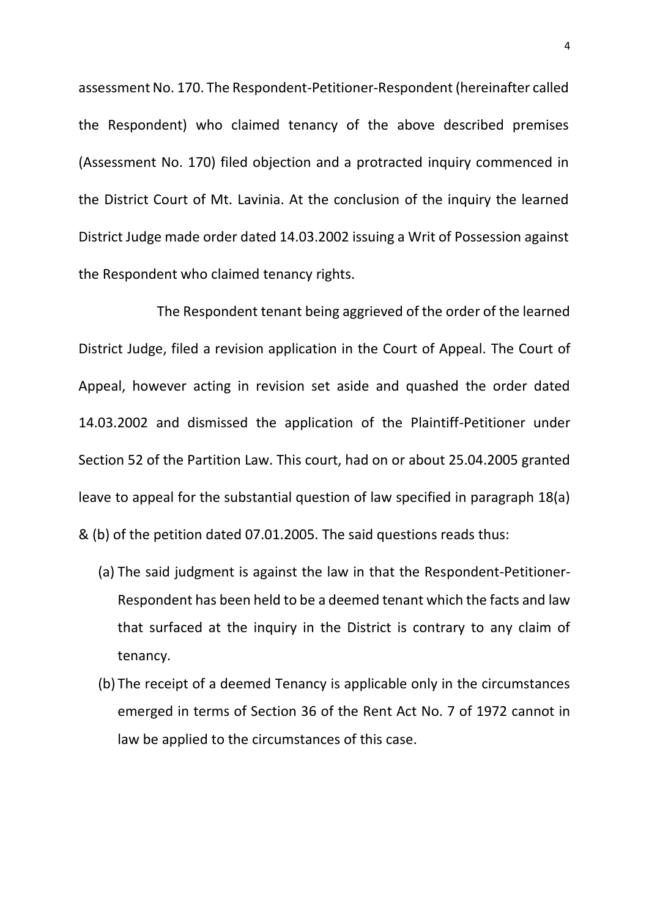assessment No. 170. The Respondent-Petitioner-Respondent (hereinafter called the Respondent) who claimed tenancy of the above described premises (Assessment No. 170) filed objection and a protracted inquiry commenced in the District Court of Mt. Lavinia. At the conclusion of the inquiry the learned District Judge made order dated 14.03.2002 issuing a Writ of Possession against the Respondent who claimed tenancy rights.

The Respondent tenant being aggrieved of the order of the learned District Judge, filed a revision application in the Court of Appeal. The Court of Appeal, however acting in revision set aside and quashed the order dated 14.03.2002 and dismissed the application of the Plaintiff-Petitioner under Section 52 of the Partition Law. This court, had on or about 25.04.2005 granted leave to appeal for the substantial question of law specified in paragraph 18(a) & (b) of the petition dated 07.01.2005. The said questions reads thus:

- (a) The said judgment is against the law in that the Respondent-Petitioner-Respondent has been held to be a deemed tenant which the facts and law that surfaced at the inquiry in the District is contrary to any claim of tenancy.
- (b) The receipt of a deemed Tenancy is applicable only in the circumstances emerged in terms of Section 36 of the Rent Act No. 7 of 1972 cannot in law be applied to the circumstances of this case.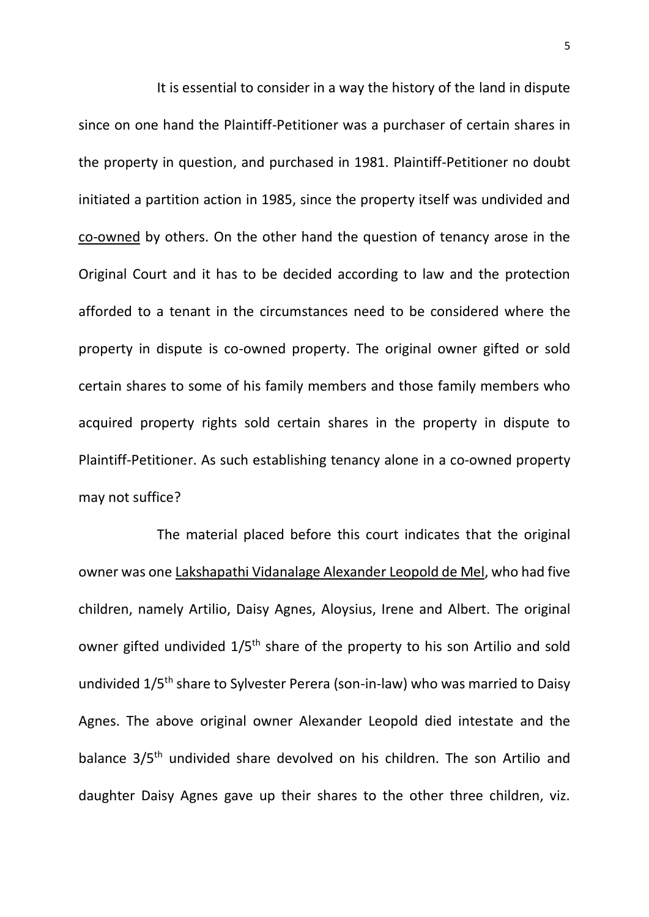It is essential to consider in a way the history of the land in dispute since on one hand the Plaintiff-Petitioner was a purchaser of certain shares in the property in question, and purchased in 1981. Plaintiff-Petitioner no doubt initiated a partition action in 1985, since the property itself was undivided and co-owned by others. On the other hand the question of tenancy arose in the Original Court and it has to be decided according to law and the protection afforded to a tenant in the circumstances need to be considered where the property in dispute is co-owned property. The original owner gifted or sold certain shares to some of his family members and those family members who acquired property rights sold certain shares in the property in dispute to Plaintiff-Petitioner. As such establishing tenancy alone in a co-owned property may not suffice?

The material placed before this court indicates that the original owner was one Lakshapathi Vidanalage Alexander Leopold de Mel, who had five children, namely Artilio, Daisy Agnes, Aloysius, Irene and Albert. The original owner gifted undivided 1/5<sup>th</sup> share of the property to his son Artilio and sold undivided 1/5th share to Sylvester Perera (son-in-law) who was married to Daisy Agnes. The above original owner Alexander Leopold died intestate and the balance 3/5<sup>th</sup> undivided share devolved on his children. The son Artilio and daughter Daisy Agnes gave up their shares to the other three children, viz.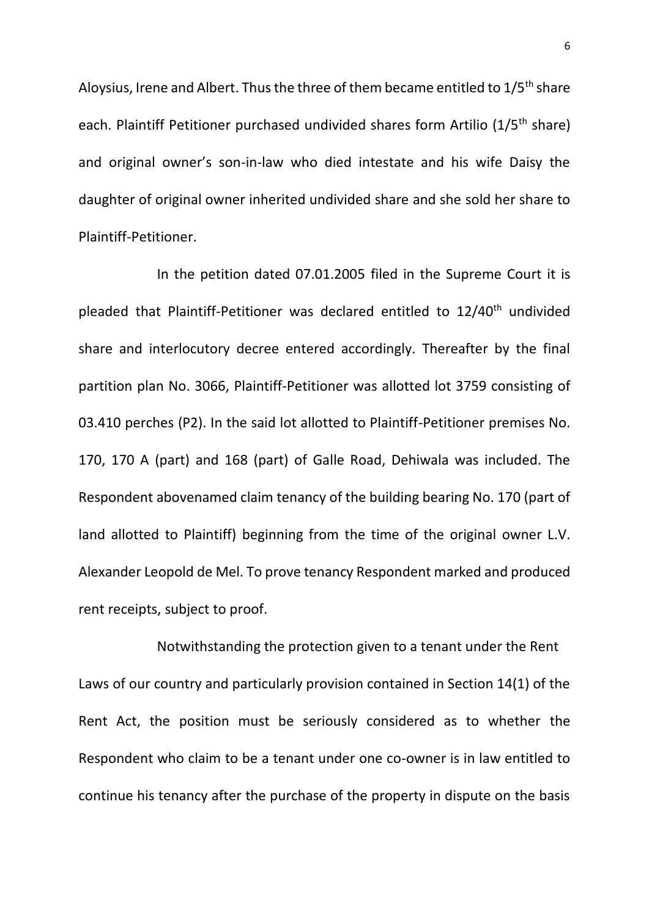Aloysius, Irene and Albert. Thus the three of them became entitled to 1/5<sup>th</sup> share each. Plaintiff Petitioner purchased undivided shares form Artilio (1/5<sup>th</sup> share) and original owner's son-in-law who died intestate and his wife Daisy the daughter of original owner inherited undivided share and she sold her share to Plaintiff-Petitioner.

In the petition dated 07.01.2005 filed in the Supreme Court it is pleaded that Plaintiff-Petitioner was declared entitled to 12/40<sup>th</sup> undivided share and interlocutory decree entered accordingly. Thereafter by the final partition plan No. 3066, Plaintiff-Petitioner was allotted lot 3759 consisting of 03.410 perches (P2). In the said lot allotted to Plaintiff-Petitioner premises No. 170, 170 A (part) and 168 (part) of Galle Road, Dehiwala was included. The Respondent abovenamed claim tenancy of the building bearing No. 170 (part of land allotted to Plaintiff) beginning from the time of the original owner L.V. Alexander Leopold de Mel. To prove tenancy Respondent marked and produced rent receipts, subject to proof.

Notwithstanding the protection given to a tenant under the Rent Laws of our country and particularly provision contained in Section 14(1) of the Rent Act, the position must be seriously considered as to whether the Respondent who claim to be a tenant under one co-owner is in law entitled to continue his tenancy after the purchase of the property in dispute on the basis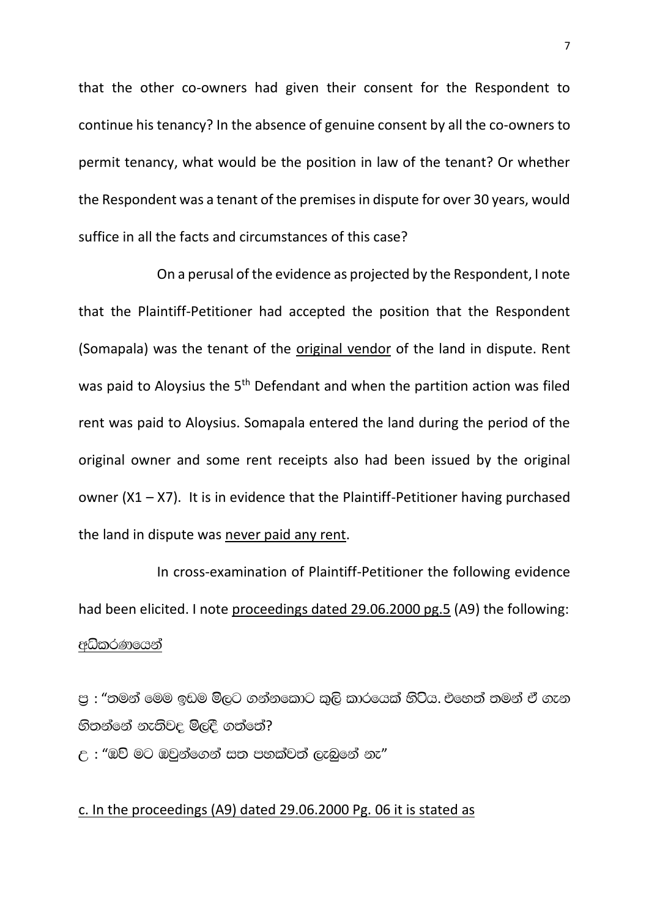that the other co-owners had given their consent for the Respondent to continue his tenancy? In the absence of genuine consent by all the co-owners to permit tenancy, what would be the position in law of the tenant? Or whether the Respondent was a tenant of the premises in dispute for over 30 years, would suffice in all the facts and circumstances of this case?

On a perusal of the evidence as projected by the Respondent, I note that the Plaintiff-Petitioner had accepted the position that the Respondent (Somapala) was the tenant of the original vendor of the land in dispute. Rent was paid to Aloysius the 5<sup>th</sup> Defendant and when the partition action was filed rent was paid to Aloysius. Somapala entered the land during the period of the original owner and some rent receipts also had been issued by the original owner  $(X1 - X7)$ . It is in evidence that the Plaintiff-Petitioner having purchased the land in dispute was never paid any rent.

In cross-examination of Plaintiff-Petitioner the following evidence had been elicited. I note proceedings dated 29.06.2000 pg.5 (A9) the following: අධිකරණයෙන්

ප : "නමන් මෙම ඉඩම මිලට ගන්නකොට කලි කාරයෙක් හිටිය. එහෙත් තමන් ඒ ගැන හිතන්නේ නැතිවද මිලදී ගත්තේ? උ : "ඔව් මට ඔවුන්ගෙන් සත පහක්වත් ලැබුනේ නැ"

# c. In the proceedings (A9) dated 29.06.2000 Pg. 06 it is stated as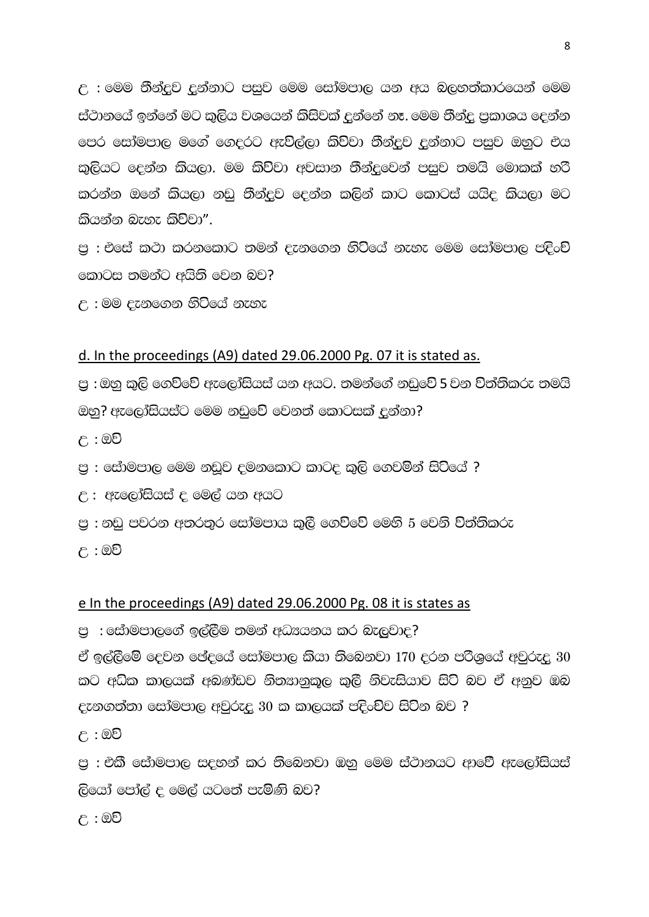$\epsilon$  : මෙම තීන්දුව දුන්නාට පසුව මෙම සෝමපාල යන අය බලහත්කාරයෙන් මෙම ස්ථානයේ ඉන්නේ මට කුලිය වශයෙන් කිසිවක් දුන්නේ නෑ. මෙම නීන්ද පුකාශය දෙන්න පෙර සෝමපාල මගේ ගෙදරට ඇවිල්ලා කිව්වා තීන්දව දුන්නාට පසුව ඔහුට එය කුලියට දෙන්න කියලා. මම කිව්වා අවසාන නීන්දුවෙන් පසුව තමයි මොකක් හරි කරන්න ඔනේ කියලා නඩු තීන්දුව දෙන්න කලින් කාට කොටස් යයිද කියලා මට කියන්න බැහැ කිව්වා".

ප : එසේ කථා කරනකොට තමන් දැනගෙන හිට්යේ නැහැ මෙම සෝමපාල පදිංච් කොටස තමන්ට අයිති වෙන බව?

උ : මම දැනගෙන හිටියේ නැහැ

# d. In the proceedings (A9) dated 29.06.2000 Pg. 07 it is stated as.

පු : ඔහු කුලි ගෙව්වේ ඇලෝසියස් යන අයට. තමන්ගේ නඩුවේ 5 වන විත්තිකරු තමයි ඔහු? ඇලෝසියස්ට මෙම නඩුවේ වෙනත් කොටසක් දුන්නා?

- <u>උ</u> : ඔව්
- පු : සෝමපාල මෙම නඩුව දමනකොට කාටද කුලි ගෙවමින් සිටියේ ?
- $E:$  ඇලෙර්සියස් ද මෙල් යන අයට
- ප : නඩු පවරන අතරතුර සෝමපාය කුලී ගෙව්වේ මෙහි 5 වෙනි විත්තිකරු

ලි : **මව්** 

## e In the proceedings (A9) dated 29.06.2000 Pg. 08 it is states as

<u>ප : සෝමපාලගේ ඉල්ලීම තමන් අධායනය කර බැලවාද?</u>

ඒ ඉල්ලීමේ දෙවන පේදයේ සෝමපාල කියා තිබෙනවා 170 දරන පරිශයේ අවරුද  $30$ කට අධික කාලයක් අබණ්ඩව නිතහනුකූල කුලී නිවැසියාව සිටි බව ඒ අනුව ඔබ දැනගත්තා සෝමපාල අවුරුදු 30 ක කාලයක් පදිංචිව සිටින බව ?

<u>උ : ඔව්</u>

පු : එකී සෝමපාල සදහන් කර තිබෙනවා ඔහු මෙම ස්ථානයට ආවේ ඇලෝසියස් ලියෝ පෝල් ද මෙල් යටතේ පැමිණි බව?

<u> ලම් : උ</u>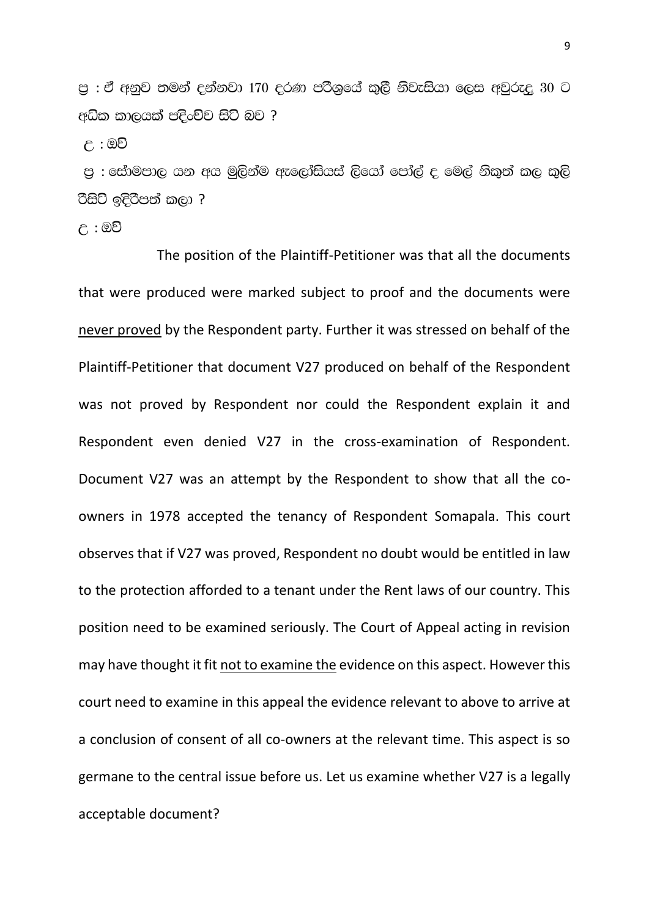පු : ඒ අනුව තමන් දන්නවා 170 දරණ පරිශයේ කුලී නිවැසියා ලෙස අවුරුදු 30 ට අධික කාලයක් පදිංචිව සිටි බව ?

<u>උ</u> : ඔව්

<u>පු : සෝමපාල යන අය මුලින්ම ඇලෝසියස් ලියෝ පෝල් ද මෙල් නිකුත් කල කුලි</u> රිසිට් ඉදිරිපත් කලා ?

ල : ම**ව** 

The position of the Plaintiff-Petitioner was that all the documents that were produced were marked subject to proof and the documents were never proved by the Respondent party. Further it was stressed on behalf of the Plaintiff-Petitioner that document V27 produced on behalf of the Respondent was not proved by Respondent nor could the Respondent explain it and Respondent even denied V27 in the cross-examination of Respondent. Document V27 was an attempt by the Respondent to show that all the coowners in 1978 accepted the tenancy of Respondent Somapala. This court observes that if V27 was proved, Respondent no doubt would be entitled in law to the protection afforded to a tenant under the Rent laws of our country. This position need to be examined seriously. The Court of Appeal acting in revision may have thought it fit not to examine the evidence on this aspect. However this court need to examine in this appeal the evidence relevant to above to arrive at a conclusion of consent of all co-owners at the relevant time. This aspect is so germane to the central issue before us. Let us examine whether V27 is a legally acceptable document?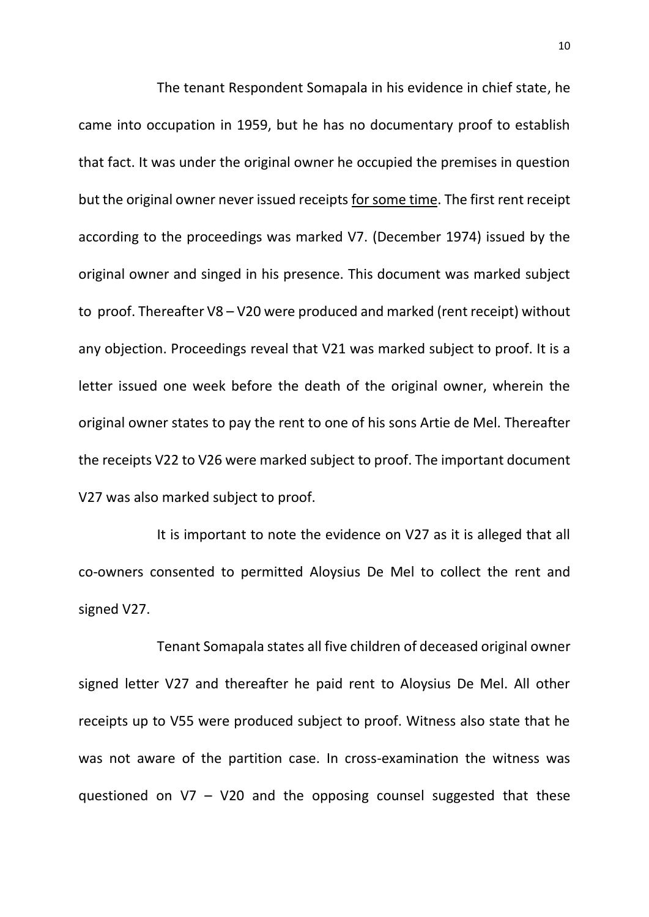The tenant Respondent Somapala in his evidence in chief state, he came into occupation in 1959, but he has no documentary proof to establish that fact. It was under the original owner he occupied the premises in question but the original owner never issued receipts for some time. The first rent receipt according to the proceedings was marked V7. (December 1974) issued by the original owner and singed in his presence. This document was marked subject to proof. Thereafter V8 – V20 were produced and marked (rent receipt) without any objection. Proceedings reveal that V21 was marked subject to proof. It is a letter issued one week before the death of the original owner, wherein the original owner states to pay the rent to one of his sons Artie de Mel. Thereafter the receipts V22 to V26 were marked subject to proof. The important document V27 was also marked subject to proof.

It is important to note the evidence on V27 as it is alleged that all co-owners consented to permitted Aloysius De Mel to collect the rent and signed V27.

Tenant Somapala states all five children of deceased original owner signed letter V27 and thereafter he paid rent to Aloysius De Mel. All other receipts up to V55 were produced subject to proof. Witness also state that he was not aware of the partition case. In cross-examination the witness was questioned on  $V7 - V20$  and the opposing counsel suggested that these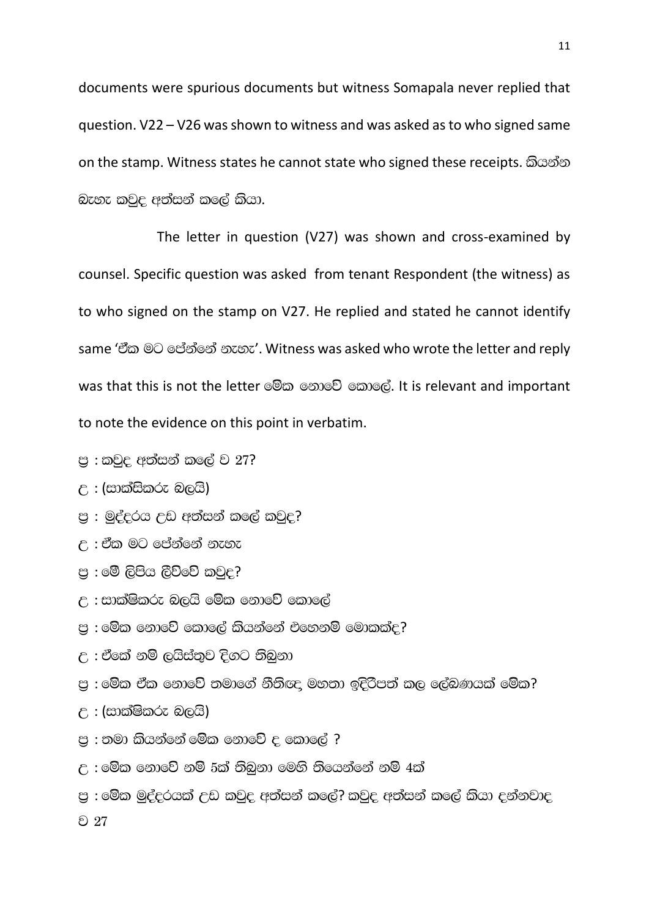documents were spurious documents but witness Somapala never replied that question. V22 – V26 was shown to witness and was asked as to who signed same on the stamp. Witness states he cannot state who signed these receipts. ඛ්යන්න බැහැ කවුද අත්සන් කලේ කියා.

The letter in question (V27) was shown and cross-examined by counsel. Specific question was asked from tenant Respondent (the witness) as to who signed on the stamp on V27. He replied and stated he cannot identify same 'ඒක මට පේන්නේ නැහැ'. Witness was asked who wrote the letter and reply was that this is not the letter මේක නොවේ කොලේ. It is relevant and important to note the evidence on this point in verbatim.

- පු : කවුද අත්සන් කලේ ව $27$ ?
- උ : (සාක්සිකරු බලයි)
- පු : මුද්දරය උඩ අත්සන් කලේ කවුද?
- $\epsilon$  : ඒක මට පේන්නේ නැහැ
- පු : මේ ලිපිය ලිව්වේ කවුද?
- $\epsilon$  : සාක්ෂිකරු බලයි මේක නොවේ කොලේ
- පු : මේක නොවේ කොලේ කියන්නේ එහෙනම් මොකක්ද?
- උ : ඒකේ නම් ලයිස්තුව දිගට තිබුනා
- පු : මේක ඒක නොවේ තමාගේ නීතිඥ මහතා ඉදිරිපත් කල ලේබණයක් මේක?
- උ : (සාක්ෂිකරු බලයි)
- $\mathfrak{g}:$   $\mathfrak{O}$   $\mathfrak{G}$   $\mathfrak{G}$   $\mathfrak{so}$   $\mathfrak{so}$   $\mathfrak{so}$   $\mathfrak{so}$   $\mathfrak{so}$   $\mathfrak{so}$   $\mathfrak{so}$   $\mathfrak{so}$   $\mathfrak{so}$   $\mathfrak{so}$   $\mathfrak{so}$   $\mathfrak{so}$   $\mathfrak{so}$   $\mathfrak{so}$   $\mathfrak{so}$   $\mathfrak{so}$   $\mathfrak{so}$   $\mathfrak{so}$
- $\epsilon$  : මේක නොවේ නම් 5ක් තිබුනා මෙහි තියෙන්නේ නම් 4ක්
- පු : මේක මුද්දුරයක් උඩ කවුද අත්සන් කලේ? කවුද අත්සන් කලේ කියා දන්නවාද

 $27$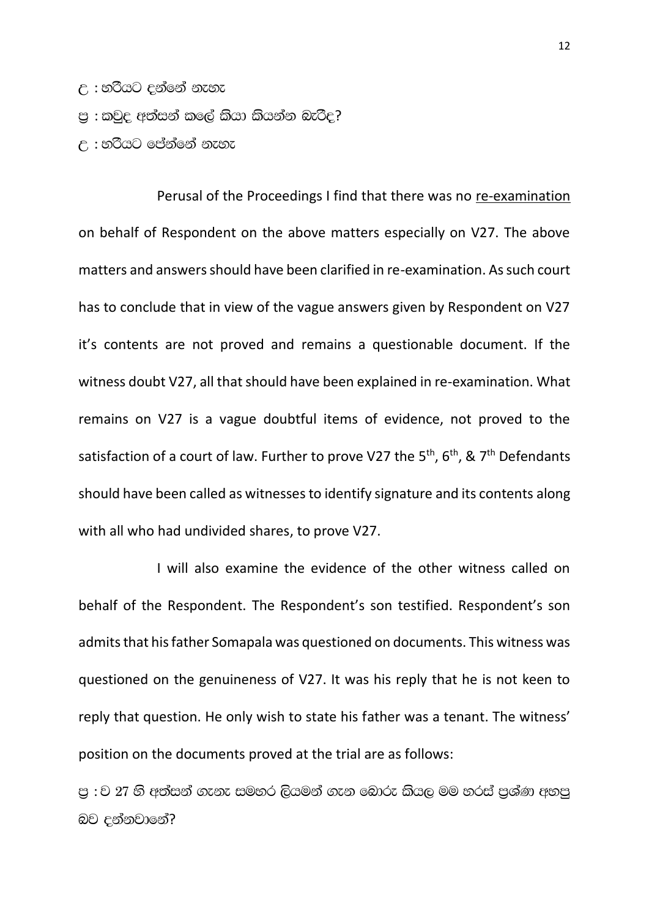- උ : හරියට දන්නේ නැහැ
- පු : කවද අත්සන් කලේ කියා කියන්න බැරිද?
- උ : හ**ි**යට පේන්නේ නැහැ

Perusal of the Proceedings I find that there was no re-examination on behalf of Respondent on the above matters especially on V27. The above matters and answers should have been clarified in re-examination. As such court has to conclude that in view of the vague answers given by Respondent on V27 it's contents are not proved and remains a questionable document. If the witness doubt V27, all that should have been explained in re-examination. What remains on V27 is a vague doubtful items of evidence, not proved to the satisfaction of a court of law. Further to prove V27 the  $5<sup>th</sup>$ , 6<sup>th</sup>, & 7<sup>th</sup> Defendants should have been called as witnesses to identify signature and its contents along with all who had undivided shares, to prove V27.

I will also examine the evidence of the other witness called on behalf of the Respondent. The Respondent's son testified. Respondent's son admits that his father Somapala was questioned on documents. This witness was questioned on the genuineness of V27. It was his reply that he is not keen to reply that question. He only wish to state his father was a tenant. The witness' position on the documents proved at the trial are as follows:

පු : ව 27 හි අත්සන් ගැනැ සමහර ලියමන් ගැන බොරු කියල මම හරස් පුශ්ණ අහපු බව දන්නවානේ?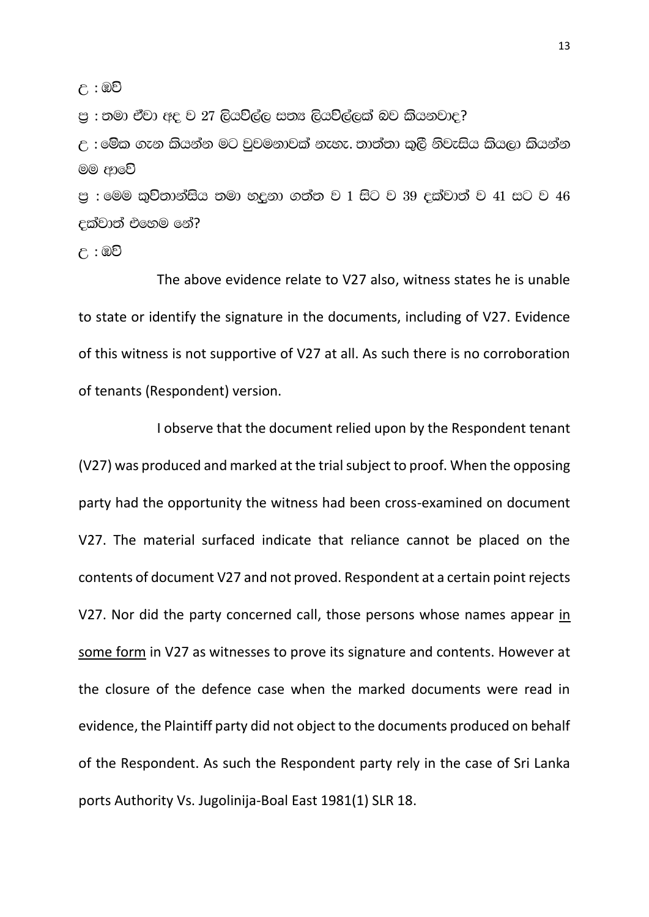උ : ඔව්

පු : තමා ඒවා අද ව 27 ලියවිල්ල සත¤ ලියවිල්ලක් බව කියනවාද?

උ : මේක ගැන කියන්න මට වුවමනාවක් නැහැ. තාත්තා කුලී නිවැසිය කියලා කියන්න මම හුවේ

පු : මෙම කුවිතාන්සිය තමා හදුනා ගත්ත ව 1 සිට ව 39 දක්වාත් ව 41 සට ව 46 cක්වාත් එහෙම නේ?

<u>උ</u> : ඔව්

The above evidence relate to V27 also, witness states he is unable to state or identify the signature in the documents, including of V27. Evidence of this witness is not supportive of V27 at all. As such there is no corroboration of tenants (Respondent) version.

I observe that the document relied upon by the Respondent tenant (V27) was produced and marked at the trial subject to proof. When the opposing party had the opportunity the witness had been cross-examined on document V27. The material surfaced indicate that reliance cannot be placed on the contents of document V27 and not proved. Respondent at a certain point rejects V27. Nor did the party concerned call, those persons whose names appear in some form in V27 as witnesses to prove its signature and contents. However at the closure of the defence case when the marked documents were read in evidence, the Plaintiff party did not object to the documents produced on behalf of the Respondent. As such the Respondent party rely in the case of Sri Lanka ports Authority Vs. Jugolinija-Boal East 1981(1) SLR 18.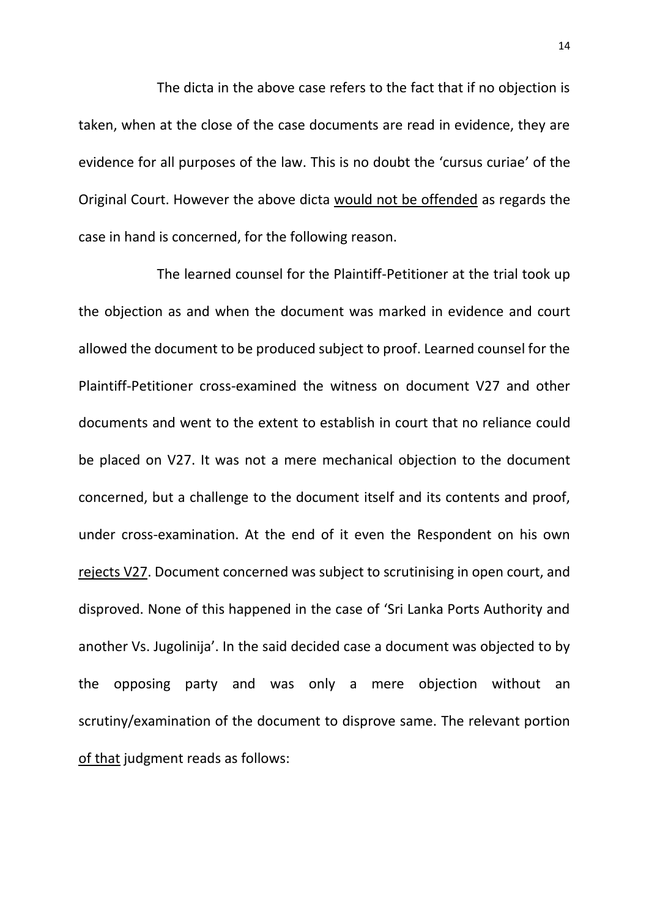The dicta in the above case refers to the fact that if no objection is taken, when at the close of the case documents are read in evidence, they are evidence for all purposes of the law. This is no doubt the 'cursus curiae' of the Original Court. However the above dicta would not be offended as regards the case in hand is concerned, for the following reason.

The learned counsel for the Plaintiff-Petitioner at the trial took up the objection as and when the document was marked in evidence and court allowed the document to be produced subject to proof. Learned counsel for the Plaintiff-Petitioner cross-examined the witness on document V27 and other documents and went to the extent to establish in court that no reliance could be placed on V27. It was not a mere mechanical objection to the document concerned, but a challenge to the document itself and its contents and proof, under cross-examination. At the end of it even the Respondent on his own rejects V27. Document concerned was subject to scrutinising in open court, and disproved. None of this happened in the case of 'Sri Lanka Ports Authority and another Vs. Jugolinija'. In the said decided case a document was objected to by the opposing party and was only a mere objection without an scrutiny/examination of the document to disprove same. The relevant portion of that judgment reads as follows: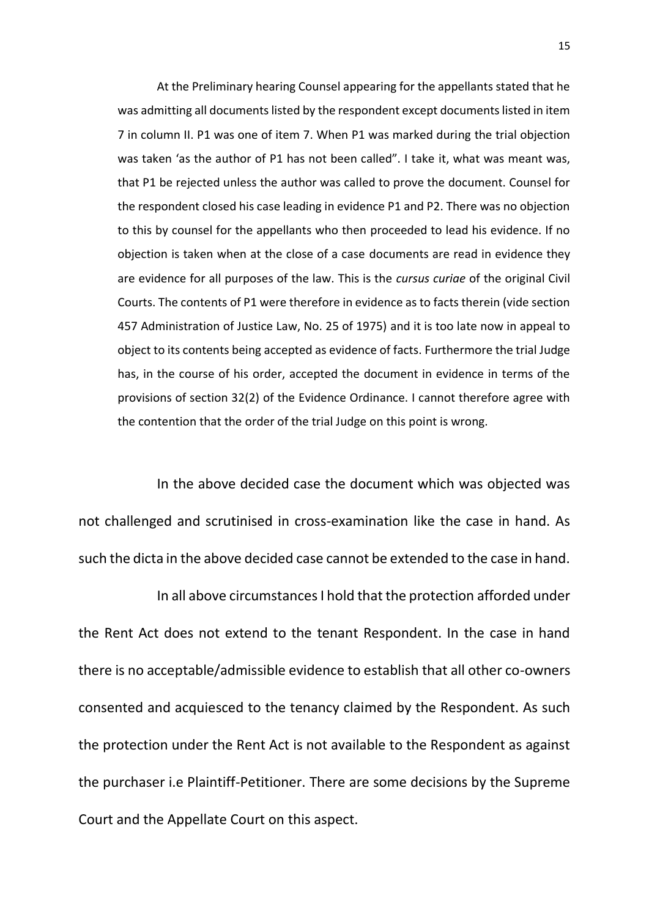At the Preliminary hearing Counsel appearing for the appellants stated that he was admitting all documents listed by the respondent except documents listed in item 7 in column II. P1 was one of item 7. When P1 was marked during the trial objection was taken 'as the author of P1 has not been called". I take it, what was meant was, that P1 be rejected unless the author was called to prove the document. Counsel for the respondent closed his case leading in evidence P1 and P2. There was no objection to this by counsel for the appellants who then proceeded to lead his evidence. If no objection is taken when at the close of a case documents are read in evidence they are evidence for all purposes of the law. This is the *cursus curiae* of the original Civil Courts. The contents of P1 were therefore in evidence as to facts therein (vide section 457 Administration of Justice Law, No. 25 of 1975) and it is too late now in appeal to object to its contents being accepted as evidence of facts. Furthermore the trial Judge has, in the course of his order, accepted the document in evidence in terms of the provisions of section 32(2) of the Evidence Ordinance. I cannot therefore agree with the contention that the order of the trial Judge on this point is wrong.

In the above decided case the document which was objected was not challenged and scrutinised in cross-examination like the case in hand. As such the dicta in the above decided case cannot be extended to the case in hand.

In all above circumstances I hold that the protection afforded under the Rent Act does not extend to the tenant Respondent. In the case in hand there is no acceptable/admissible evidence to establish that all other co-owners consented and acquiesced to the tenancy claimed by the Respondent. As such the protection under the Rent Act is not available to the Respondent as against the purchaser i.e Plaintiff-Petitioner. There are some decisions by the Supreme Court and the Appellate Court on this aspect.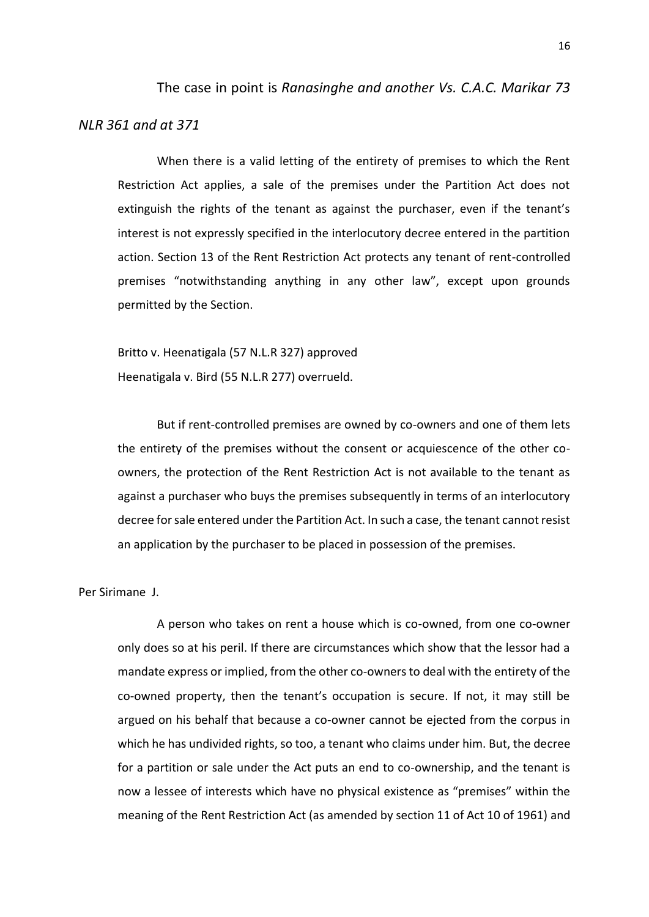# The case in point is *Ranasinghe and another Vs. C.A.C. Marikar 73 NLR 361 and at 371*

When there is a valid letting of the entirety of premises to which the Rent Restriction Act applies, a sale of the premises under the Partition Act does not extinguish the rights of the tenant as against the purchaser, even if the tenant's interest is not expressly specified in the interlocutory decree entered in the partition action. Section 13 of the Rent Restriction Act protects any tenant of rent-controlled premises "notwithstanding anything in any other law", except upon grounds permitted by the Section.

Britto v. Heenatigala (57 N.L.R 327) approved Heenatigala v. Bird (55 N.L.R 277) overrueld.

But if rent-controlled premises are owned by co-owners and one of them lets the entirety of the premises without the consent or acquiescence of the other coowners, the protection of the Rent Restriction Act is not available to the tenant as against a purchaser who buys the premises subsequently in terms of an interlocutory decree for sale entered under the Partition Act. In such a case, the tenant cannot resist an application by the purchaser to be placed in possession of the premises.

Per Sirimane J.

A person who takes on rent a house which is co-owned, from one co-owner only does so at his peril. If there are circumstances which show that the lessor had a mandate express or implied, from the other co-owners to deal with the entirety of the co-owned property, then the tenant's occupation is secure. If not, it may still be argued on his behalf that because a co-owner cannot be ejected from the corpus in which he has undivided rights, so too, a tenant who claims under him. But, the decree for a partition or sale under the Act puts an end to co-ownership, and the tenant is now a lessee of interests which have no physical existence as "premises" within the meaning of the Rent Restriction Act (as amended by section 11 of Act 10 of 1961) and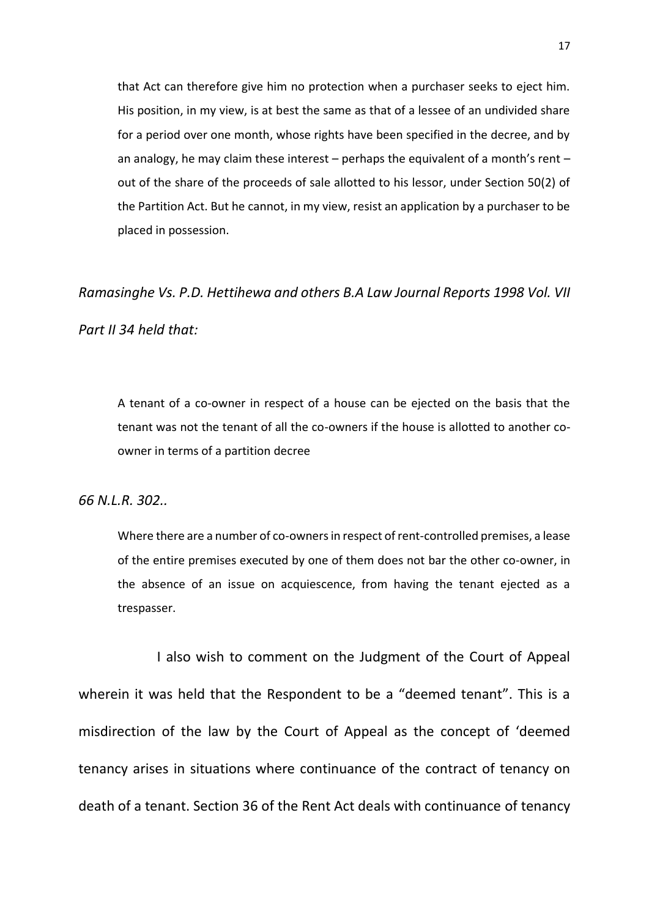that Act can therefore give him no protection when a purchaser seeks to eject him. His position, in my view, is at best the same as that of a lessee of an undivided share for a period over one month, whose rights have been specified in the decree, and by an analogy, he may claim these interest – perhaps the equivalent of a month's rent – out of the share of the proceeds of sale allotted to his lessor, under Section 50(2) of the Partition Act. But he cannot, in my view, resist an application by a purchaser to be placed in possession.

*Ramasinghe Vs. P.D. Hettihewa and others B.A Law Journal Reports 1998 Vol. VII Part II 34 held that:*

A tenant of a co-owner in respect of a house can be ejected on the basis that the tenant was not the tenant of all the co-owners if the house is allotted to another coowner in terms of a partition decree

*66 N.L.R. 302..*

Where there are a number of co-owners in respect of rent-controlled premises, a lease of the entire premises executed by one of them does not bar the other co-owner, in the absence of an issue on acquiescence, from having the tenant ejected as a trespasser.

I also wish to comment on the Judgment of the Court of Appeal wherein it was held that the Respondent to be a "deemed tenant". This is a misdirection of the law by the Court of Appeal as the concept of 'deemed tenancy arises in situations where continuance of the contract of tenancy on death of a tenant. Section 36 of the Rent Act deals with continuance of tenancy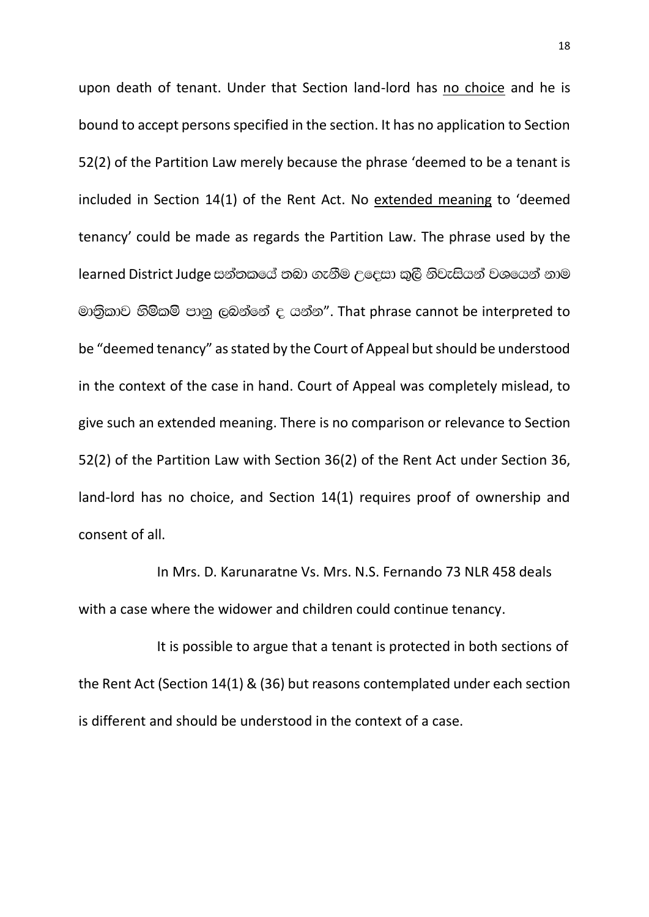upon death of tenant. Under that Section land-lord has no choice and he is bound to accept persons specified in the section. It has no application to Section 52(2) of the Partition Law merely because the phrase 'deemed to be a tenant is included in Section 14(1) of the Rent Act. No extended meaning to 'deemed tenancy' could be made as regards the Partition Law. The phrase used by the learned District Judge සන්තකයේ තබා ගැනීම උදෙසා කුලී නිවැසියන් වශයෙන් නාම මාතිුකාව හිමිකම් පානු ලබන්නේ ද යන්න". That phrase cannot be interpreted to be "deemed tenancy" as stated by the Court of Appeal but should be understood in the context of the case in hand. Court of Appeal was completely mislead, to give such an extended meaning. There is no comparison or relevance to Section 52(2) of the Partition Law with Section 36(2) of the Rent Act under Section 36, land-lord has no choice, and Section 14(1) requires proof of ownership and consent of all.

In Mrs. D. Karunaratne Vs. Mrs. N.S. Fernando 73 NLR 458 deals with a case where the widower and children could continue tenancy.

It is possible to argue that a tenant is protected in both sections of the Rent Act (Section 14(1) & (36) but reasons contemplated under each section is different and should be understood in the context of a case.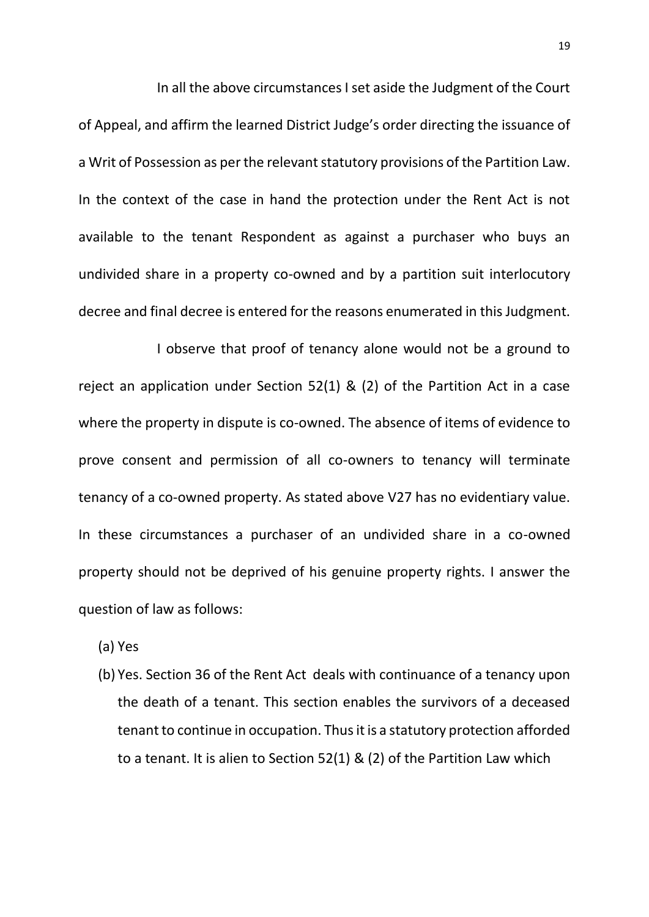In all the above circumstances I set aside the Judgment of the Court of Appeal, and affirm the learned District Judge's order directing the issuance of a Writ of Possession as per the relevant statutory provisions of the Partition Law. In the context of the case in hand the protection under the Rent Act is not available to the tenant Respondent as against a purchaser who buys an undivided share in a property co-owned and by a partition suit interlocutory decree and final decree is entered for the reasons enumerated in this Judgment.

I observe that proof of tenancy alone would not be a ground to reject an application under Section 52(1) & (2) of the Partition Act in a case where the property in dispute is co-owned. The absence of items of evidence to prove consent and permission of all co-owners to tenancy will terminate tenancy of a co-owned property. As stated above V27 has no evidentiary value. In these circumstances a purchaser of an undivided share in a co-owned property should not be deprived of his genuine property rights. I answer the question of law as follows:

- (a) Yes
- (b) Yes. Section 36 of the Rent Act deals with continuance of a tenancy upon the death of a tenant. This section enables the survivors of a deceased tenant to continue in occupation. Thus it is a statutory protection afforded to a tenant. It is alien to Section 52(1) & (2) of the Partition Law which